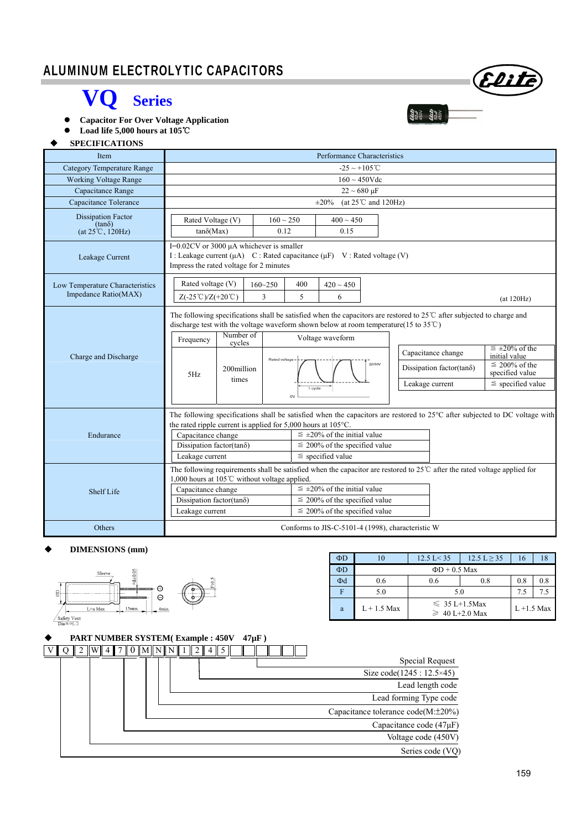### I ALUMINUM ELECTROLYTIC CAPACITORS

## **VQ Series**

 **Capacitor For Over Voltage Application** 

 **Load life 5,000 hours at 105**℃

#### **SPECIFICATIONS**

| <b>Item</b>                                                             | Performance Characteristics                                                                                                                                                                                                    |                                                                                                                                                                                  |                                                                                                                                                                                                                                                                                                                                                                                                                                                                                    |                                                                                                                  |  |  |  |  |  |  |  |  |  |
|-------------------------------------------------------------------------|--------------------------------------------------------------------------------------------------------------------------------------------------------------------------------------------------------------------------------|----------------------------------------------------------------------------------------------------------------------------------------------------------------------------------|------------------------------------------------------------------------------------------------------------------------------------------------------------------------------------------------------------------------------------------------------------------------------------------------------------------------------------------------------------------------------------------------------------------------------------------------------------------------------------|------------------------------------------------------------------------------------------------------------------|--|--|--|--|--|--|--|--|--|
| <b>Category Temperature Range</b>                                       |                                                                                                                                                                                                                                | $-25 \sim +105^{\circ}C$                                                                                                                                                         |                                                                                                                                                                                                                                                                                                                                                                                                                                                                                    |                                                                                                                  |  |  |  |  |  |  |  |  |  |
| <b>Working Voltage Range</b>                                            | $160 \sim 450$ Vdc                                                                                                                                                                                                             |                                                                                                                                                                                  |                                                                                                                                                                                                                                                                                                                                                                                                                                                                                    |                                                                                                                  |  |  |  |  |  |  |  |  |  |
| Capacitance Range                                                       | $22 \sim 680 \,\mu F$                                                                                                                                                                                                          |                                                                                                                                                                                  |                                                                                                                                                                                                                                                                                                                                                                                                                                                                                    |                                                                                                                  |  |  |  |  |  |  |  |  |  |
| Capacitance Tolerance                                                   | (at $25^{\circ}$ C and $120$ Hz)<br>$\pm 20\%$                                                                                                                                                                                 |                                                                                                                                                                                  |                                                                                                                                                                                                                                                                                                                                                                                                                                                                                    |                                                                                                                  |  |  |  |  |  |  |  |  |  |
| <b>Dissipation Factor</b><br>$(tan\delta)$<br>$(at 25^{\circ}C, 120Hz)$ | Rated Voltage (V)<br>$tan\delta(Max)$                                                                                                                                                                                          | $160 \sim 250$<br>0.12                                                                                                                                                           | $400 \sim 450$<br>0.15                                                                                                                                                                                                                                                                                                                                                                                                                                                             |                                                                                                                  |  |  |  |  |  |  |  |  |  |
| Leakage Current                                                         |                                                                                                                                                                                                                                | I= $0.02$ CV or 3000 $\mu$ A whichever is smaller<br>I: Leakage current $(\mu A)$ C: Rated capacitance $(\mu F)$ V: Rated voltage (V)<br>Impress the rated voltage for 2 minutes |                                                                                                                                                                                                                                                                                                                                                                                                                                                                                    |                                                                                                                  |  |  |  |  |  |  |  |  |  |
| Low Temperature Characteristics<br>Impedance Ratio(MAX)                 | Rated voltage (V)<br>$160 - 250$<br>400<br>$420\sim450$<br>3<br>5<br>$Z(-25^{\circ}\text{C})/Z(+20^{\circ}\text{C})$<br>6<br>(at 120Hz)                                                                                        |                                                                                                                                                                                  |                                                                                                                                                                                                                                                                                                                                                                                                                                                                                    |                                                                                                                  |  |  |  |  |  |  |  |  |  |
| Charge and Discharge                                                    | Number of<br>Frequency<br>cycles<br>200million<br>5Hz<br>times                                                                                                                                                                 | Rated voltage                                                                                                                                                                    | The following specifications shall be satisfied when the capacitors are restored to $25^{\circ}$ C after subjected to charge and<br>discharge test with the voltage waveform shown below at room temperature(15 to $35^{\circ}$ C)<br>Voltage waveform<br>$\leq \pm 20\%$ of the<br>Capacitance change<br>initial value<br>$\leq 200\%$ of the<br>$\leq 150V$<br>Dissipation factor(tan $\delta$ )<br>specified value<br>$\le$ specified value<br>Leakage current<br>1 cycle<br>ov |                                                                                                                  |  |  |  |  |  |  |  |  |  |
| Endurance                                                               | the rated ripple current is applied for $5,000$ hours at $105^{\circ}$ C.<br>Capacitance change<br>Dissipation factor(tan $\delta$ )<br>Leakage current<br>1,000 hours at 105°C without voltage applied.<br>Capacitance change |                                                                                                                                                                                  | The following specifications shall be satisfied when the capacitors are restored to $25^{\circ}$ C after subjected to DC voltage with<br>$\leq \pm 20\%$ of the initial value<br>$\leq$ 200% of the specified value<br>$\le$ specified value<br>The following requirements shall be satisfied when the capacitor are restored to $25^{\circ}$ after the rated voltage applied for                                                                                                  |                                                                                                                  |  |  |  |  |  |  |  |  |  |
| Shelf Life                                                              | Dissipation factor(tano)<br>Leakage current                                                                                                                                                                                    |                                                                                                                                                                                  |                                                                                                                                                                                                                                                                                                                                                                                                                                                                                    | $\leq \pm 20\%$ of the initial value<br>$\leq$ 200% of the specified value<br>$\leq$ 200% of the specified value |  |  |  |  |  |  |  |  |  |
| Others                                                                  |                                                                                                                                                                                                                                |                                                                                                                                                                                  |                                                                                                                                                                                                                                                                                                                                                                                                                                                                                    | Conforms to JIS-C-5101-4 (1998), characteristic W                                                                |  |  |  |  |  |  |  |  |  |

#### **DIMENSIONS (mm)**



| ΦD |               | $12.5 \text{ L} < 35$                      | $12.5 L \ge 35$ | 16  | 18  |
|----|---------------|--------------------------------------------|-----------------|-----|-----|
| ΦD |               | $\Phi$ D + 0.5 Max                         |                 |     |     |
| Φd | 0.6           | 0.6                                        | 0.8             | 0.8 | 0.8 |
|    | 5.0           | 5.0                                        | 7.5             | 75  |     |
| a  | $L + 1.5$ Max | $\leq 35 L+1.5$ Max<br>$\geq 40$ L+2.0 Max | $L + 1.5$ Max   |     |     |

|  | <b>PART NUMBER SYSTEM(Example: 450V)</b> |  |  |  |  |                   |  |  |  |  | $47 \mu F$ ) |  |  |  |  |  |  |  |  |  |                                    |  |                                          |
|--|------------------------------------------|--|--|--|--|-------------------|--|--|--|--|--------------|--|--|--|--|--|--|--|--|--|------------------------------------|--|------------------------------------------|
|  |                                          |  |  |  |  | $0$ M $\text{NN}$ |  |  |  |  |              |  |  |  |  |  |  |  |  |  |                                    |  |                                          |
|  |                                          |  |  |  |  |                   |  |  |  |  |              |  |  |  |  |  |  |  |  |  | Special Request                    |  |                                          |
|  |                                          |  |  |  |  |                   |  |  |  |  |              |  |  |  |  |  |  |  |  |  | Size $code(1245 : 12.5 \times 45)$ |  |                                          |
|  |                                          |  |  |  |  |                   |  |  |  |  |              |  |  |  |  |  |  |  |  |  |                                    |  | Lead length code                         |
|  |                                          |  |  |  |  |                   |  |  |  |  |              |  |  |  |  |  |  |  |  |  |                                    |  | Lead forming Type code                   |
|  |                                          |  |  |  |  |                   |  |  |  |  |              |  |  |  |  |  |  |  |  |  |                                    |  | Capacitance tolerance $code(M:\pm 20\%)$ |
|  |                                          |  |  |  |  |                   |  |  |  |  |              |  |  |  |  |  |  |  |  |  |                                    |  | Capacitance code $(47\mu F)$             |
|  |                                          |  |  |  |  |                   |  |  |  |  |              |  |  |  |  |  |  |  |  |  |                                    |  | Voltage code (450V)                      |
|  |                                          |  |  |  |  |                   |  |  |  |  |              |  |  |  |  |  |  |  |  |  |                                    |  | Series code (VQ)                         |

Eliti

 $\begin{array}{ll} \textbf{22.4} \\ \textbf{23.4} \\ \textbf{32.4} \\ \textbf{4.50} \\ \textbf{23.4} \\ \textbf{24.4} \\ \textbf{33.4} \\ \textbf{4.50} \\ \textbf{4.50} \end{array}$